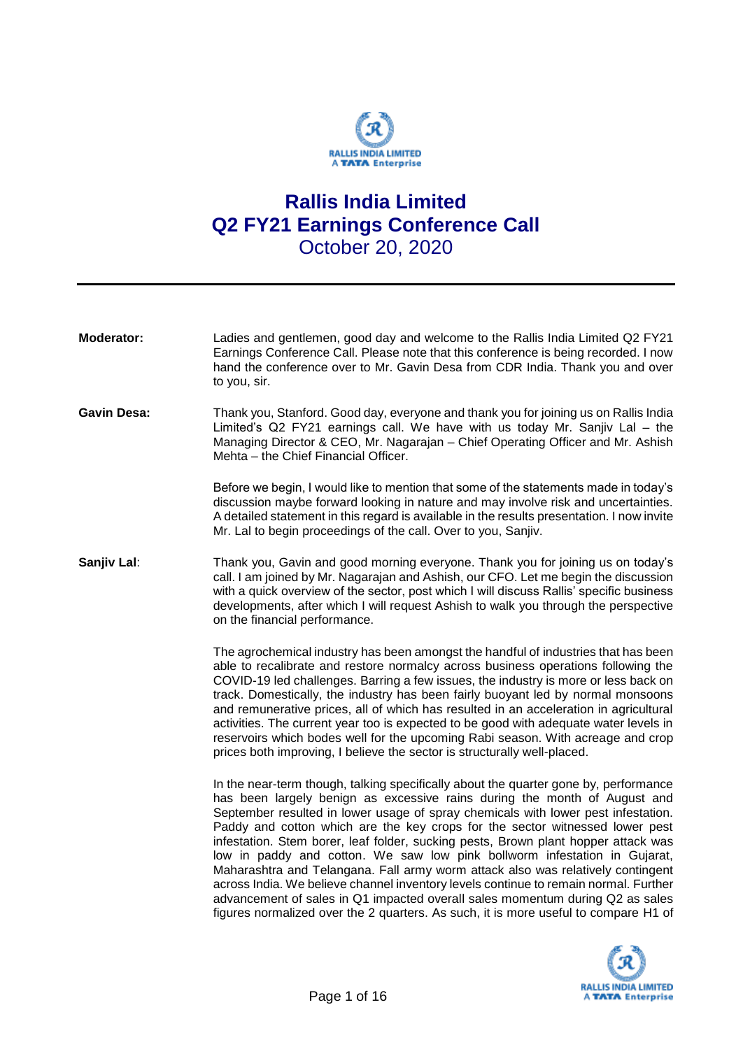

## **Rallis India Limited Q2 FY21 Earnings Conference Call** October 20, 2020

| Moderator:         | Ladies and gentlemen, good day and welcome to the Rallis India Limited Q2 FY21<br>Earnings Conference Call. Please note that this conference is being recorded. I now<br>hand the conference over to Mr. Gavin Desa from CDR India. Thank you and over<br>to you, sir.                                                                                                                                                                                                                                                                                                                                                                                                                                                                                                                                                                                       |
|--------------------|--------------------------------------------------------------------------------------------------------------------------------------------------------------------------------------------------------------------------------------------------------------------------------------------------------------------------------------------------------------------------------------------------------------------------------------------------------------------------------------------------------------------------------------------------------------------------------------------------------------------------------------------------------------------------------------------------------------------------------------------------------------------------------------------------------------------------------------------------------------|
| <b>Gavin Desa:</b> | Thank you, Stanford. Good day, everyone and thank you for joining us on Rallis India<br>Limited's Q2 FY21 earnings call. We have with us today Mr. Sanjiv Lal - the<br>Managing Director & CEO, Mr. Nagarajan - Chief Operating Officer and Mr. Ashish<br>Mehta - the Chief Financial Officer.                                                                                                                                                                                                                                                                                                                                                                                                                                                                                                                                                               |
|                    | Before we begin, I would like to mention that some of the statements made in today's<br>discussion maybe forward looking in nature and may involve risk and uncertainties.<br>A detailed statement in this regard is available in the results presentation. I now invite<br>Mr. Lal to begin proceedings of the call. Over to you, Sanjiv.                                                                                                                                                                                                                                                                                                                                                                                                                                                                                                                   |
| Sanjiv Lal:        | Thank you, Gavin and good morning everyone. Thank you for joining us on today's<br>call. I am joined by Mr. Nagarajan and Ashish, our CFO. Let me begin the discussion<br>with a quick overview of the sector, post which I will discuss Rallis' specific business<br>developments, after which I will request Ashish to walk you through the perspective<br>on the financial performance.                                                                                                                                                                                                                                                                                                                                                                                                                                                                   |
|                    | The agrochemical industry has been amongst the handful of industries that has been<br>able to recalibrate and restore normalcy across business operations following the<br>COVID-19 led challenges. Barring a few issues, the industry is more or less back on<br>track. Domestically, the industry has been fairly buoyant led by normal monsoons<br>and remunerative prices, all of which has resulted in an acceleration in agricultural<br>activities. The current year too is expected to be good with adequate water levels in<br>reservoirs which bodes well for the upcoming Rabi season. With acreage and crop<br>prices both improving, I believe the sector is structurally well-placed.                                                                                                                                                          |
|                    | In the near-term though, talking specifically about the quarter gone by, performance<br>has been largely benign as excessive rains during the month of August and<br>September resulted in lower usage of spray chemicals with lower pest infestation.<br>Paddy and cotton which are the key crops for the sector witnessed lower pest<br>infestation. Stem borer, leaf folder, sucking pests, Brown plant hopper attack was<br>low in paddy and cotton. We saw low pink bollworm infestation in Gujarat,<br>Maharashtra and Telangana. Fall army worm attack also was relatively contingent<br>across India. We believe channel inventory levels continue to remain normal. Further<br>advancement of sales in Q1 impacted overall sales momentum during Q2 as sales<br>figures normalized over the 2 quarters. As such, it is more useful to compare H1 of |

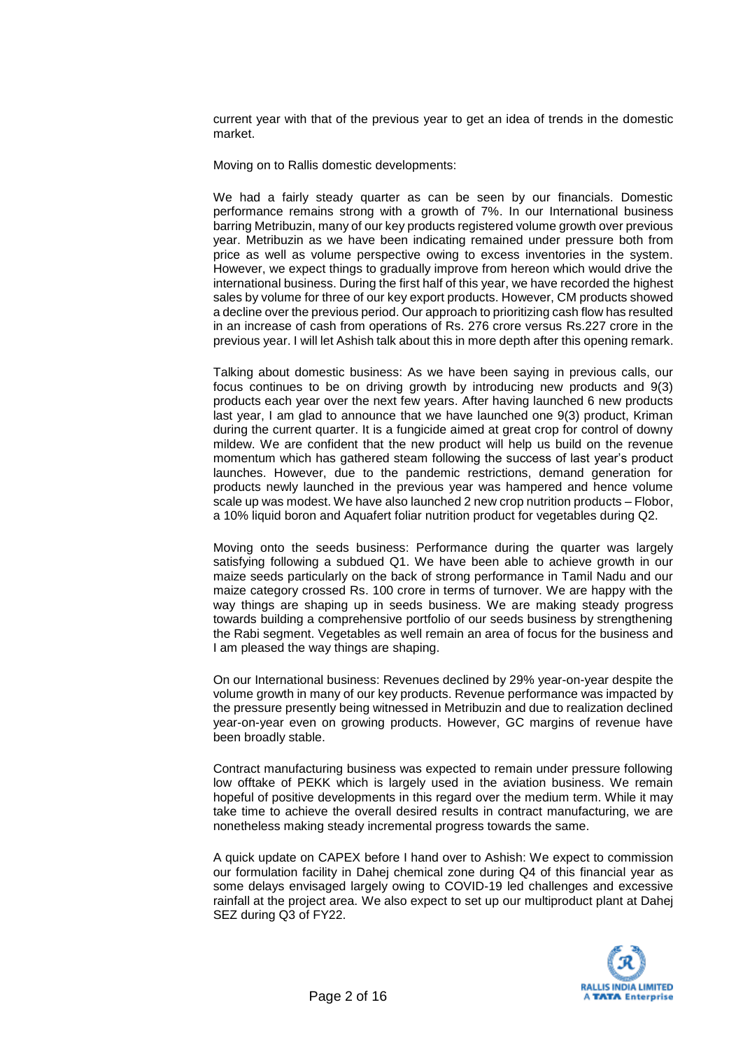current year with that of the previous year to get an idea of trends in the domestic market.

Moving on to Rallis domestic developments:

We had a fairly steady quarter as can be seen by our financials. Domestic performance remains strong with a growth of 7%. In our International business barring Metribuzin, many of our key products registered volume growth over previous year. Metribuzin as we have been indicating remained under pressure both from price as well as volume perspective owing to excess inventories in the system. However, we expect things to gradually improve from hereon which would drive the international business. During the first half of this year, we have recorded the highest sales by volume for three of our key export products. However, CM products showed a decline over the previous period. Our approach to prioritizing cash flow has resulted in an increase of cash from operations of Rs. 276 crore versus Rs.227 crore in the previous year. I will let Ashish talk about this in more depth after this opening remark.

Talking about domestic business: As we have been saying in previous calls, our focus continues to be on driving growth by introducing new products and 9(3) products each year over the next few years. After having launched 6 new products last year, I am glad to announce that we have launched one 9(3) product, Kriman during the current quarter. It is a fungicide aimed at great crop for control of downy mildew. We are confident that the new product will help us build on the revenue momentum which has gathered steam following the success of last year's product launches. However, due to the pandemic restrictions, demand generation for products newly launched in the previous year was hampered and hence volume scale up was modest. We have also launched 2 new crop nutrition products – Flobor, a 10% liquid boron and Aquafert foliar nutrition product for vegetables during Q2.

Moving onto the seeds business: Performance during the quarter was largely satisfying following a subdued Q1. We have been able to achieve growth in our maize seeds particularly on the back of strong performance in Tamil Nadu and our maize category crossed Rs. 100 crore in terms of turnover. We are happy with the way things are shaping up in seeds business. We are making steady progress towards building a comprehensive portfolio of our seeds business by strengthening the Rabi segment. Vegetables as well remain an area of focus for the business and I am pleased the way things are shaping.

On our International business: Revenues declined by 29% year-on-year despite the volume growth in many of our key products. Revenue performance was impacted by the pressure presently being witnessed in Metribuzin and due to realization declined year-on-year even on growing products. However, GC margins of revenue have been broadly stable.

Contract manufacturing business was expected to remain under pressure following low offtake of PEKK which is largely used in the aviation business. We remain hopeful of positive developments in this regard over the medium term. While it may take time to achieve the overall desired results in contract manufacturing, we are nonetheless making steady incremental progress towards the same.

A quick update on CAPEX before I hand over to Ashish: We expect to commission our formulation facility in Dahej chemical zone during Q4 of this financial year as some delays envisaged largely owing to COVID-19 led challenges and excessive rainfall at the project area. We also expect to set up our multiproduct plant at Dahej SEZ during Q3 of FY22.

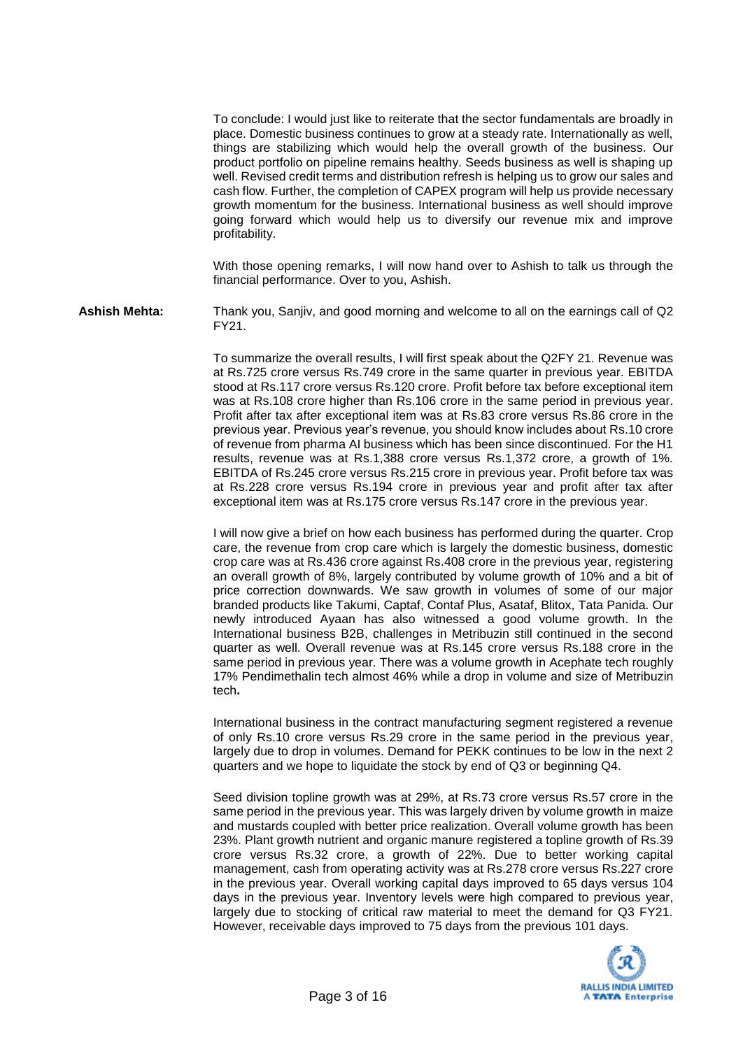To conclude: I would just like to reiterate that the sector fundamentals are broadly in place. Domestic business continues to grow at a steady rate. Internationally as well, things are stabilizing which would help the overall growth of the business. Our product portfolio on pipeline remains healthy. Seeds business as well is shaping up well. Revised credit terms and distribution refresh is helping us to grow our sales and cash flow. Further, the completion of CAPEX program will help us provide necessary growth momentum for the business. International business as well should improve going forward which would help us to diversify our revenue mix and improve profitability.

With those opening remarks, I will now hand over to Ashish to talk us through the financial performance. Over to you, Ashish.

**Ashish Mehta:** Thank you, Sanjiv, and good morning and welcome to all on the earnings call of Q2 FY21.

> To summarize the overall results, I will first speak about the Q2FY 21. Revenue was at Rs.725 crore versus Rs.749 crore in the same quarter in previous year. EBITDA stood at Rs.117 crore versus Rs.120 crore. Profit before tax before exceptional item was at Rs.108 crore higher than Rs.106 crore in the same period in previous year. Profit after tax after exceptional item was at Rs.83 crore versus Rs.86 crore in the previous year. Previous year's revenue, you should know includes about Rs.10 crore of revenue from pharma AI business which has been since discontinued. For the H1 results, revenue was at Rs.1,388 crore versus Rs.1,372 crore, a growth of 1%. EBITDA of Rs.245 crore versus Rs.215 crore in previous year. Profit before tax was at Rs.228 crore versus Rs.194 crore in previous year and profit after tax after exceptional item was at Rs.175 crore versus Rs.147 crore in the previous year.

> I will now give a brief on how each business has performed during the quarter. Crop care, the revenue from crop care which is largely the domestic business, domestic crop care was at Rs.436 crore against Rs.408 crore in the previous year, registering an overall growth of 8%, largely contributed by volume growth of 10% and a bit of price correction downwards. We saw growth in volumes of some of our major branded products like Takumi, Captaf, Contaf Plus, Asataf, Blitox, Tata Panida. Our newly introduced Ayaan has also witnessed a good volume growth. In the International business B2B, challenges in Metribuzin still continued in the second quarter as well. Overall revenue was at Rs.145 crore versus Rs.188 crore in the same period in previous year. There was a volume growth in Acephate tech roughly 17% Pendimethalin tech almost 46% while a drop in volume and size of Metribuzin tech**.**

> International business in the contract manufacturing segment registered a revenue of only Rs.10 crore versus Rs.29 crore in the same period in the previous year, largely due to drop in volumes. Demand for PEKK continues to be low in the next 2 quarters and we hope to liquidate the stock by end of Q3 or beginning Q4.

> Seed division topline growth was at 29%, at Rs.73 crore versus Rs.57 crore in the same period in the previous year. This was largely driven by volume growth in maize and mustards coupled with better price realization. Overall volume growth has been 23%. Plant growth nutrient and organic manure registered a topline growth of Rs.39 crore versus Rs.32 crore, a growth of 22%. Due to better working capital management, cash from operating activity was at Rs.278 crore versus Rs.227 crore in the previous year. Overall working capital days improved to 65 days versus 104 days in the previous year. Inventory levels were high compared to previous year, largely due to stocking of critical raw material to meet the demand for Q3 FY21. However, receivable days improved to 75 days from the previous 101 days.

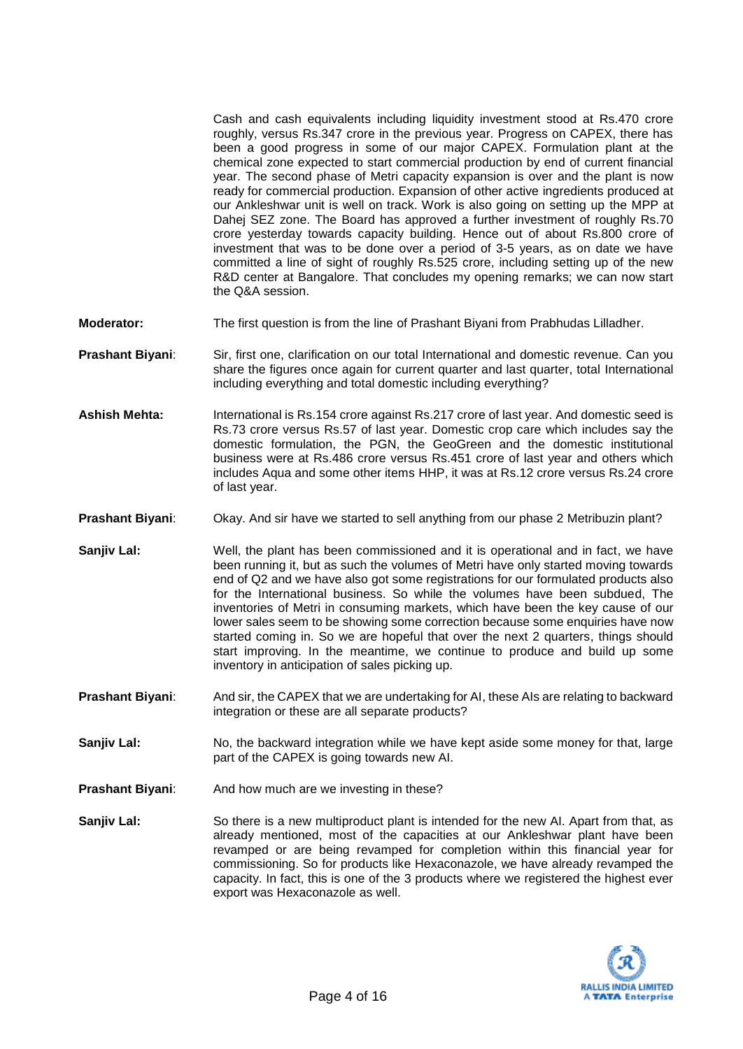Cash and cash equivalents including liquidity investment stood at Rs.470 crore roughly, versus Rs.347 crore in the previous year. Progress on CAPEX, there has been a good progress in some of our major CAPEX. Formulation plant at the chemical zone expected to start commercial production by end of current financial year. The second phase of Metri capacity expansion is over and the plant is now ready for commercial production. Expansion of other active ingredients produced at our Ankleshwar unit is well on track. Work is also going on setting up the MPP at Dahej SEZ zone. The Board has approved a further investment of roughly Rs.70 crore yesterday towards capacity building. Hence out of about Rs.800 crore of investment that was to be done over a period of 3-5 years, as on date we have committed a line of sight of roughly Rs.525 crore, including setting up of the new R&D center at Bangalore. That concludes my opening remarks; we can now start the Q&A session.

- **Moderator:** The first question is from the line of Prashant Biyani from Prabhudas Lilladher.
- **Prashant Biyani**: Sir, first one, clarification on our total International and domestic revenue. Can you share the figures once again for current quarter and last quarter, total International including everything and total domestic including everything?
- **Ashish Mehta:** International is Rs.154 crore against Rs.217 crore of last year. And domestic seed is Rs.73 crore versus Rs.57 of last year. Domestic crop care which includes say the domestic formulation, the PGN, the GeoGreen and the domestic institutional business were at Rs.486 crore versus Rs.451 crore of last year and others which includes Aqua and some other items HHP, it was at Rs.12 crore versus Rs.24 crore of last year.
- **Prashant Biyani**: Okay. And sir have we started to sell anything from our phase 2 Metribuzin plant?
- **Sanjiv Lal:** Well, the plant has been commissioned and it is operational and in fact, we have been running it, but as such the volumes of Metri have only started moving towards end of Q2 and we have also got some registrations for our formulated products also for the International business. So while the volumes have been subdued, The inventories of Metri in consuming markets, which have been the key cause of our lower sales seem to be showing some correction because some enquiries have now started coming in. So we are hopeful that over the next 2 quarters, things should start improving. In the meantime, we continue to produce and build up some inventory in anticipation of sales picking up.
- **Prashant Biyani:** And sir, the CAPEX that we are undertaking for AI, these AIs are relating to backward integration or these are all separate products?
- **Sanjiv Lal:** No, the backward integration while we have kept aside some money for that, large part of the CAPEX is going towards new AI.
- **Prashant Biyani:** And how much are we investing in these?
- **Sanjiv Lal:** So there is a new multiproduct plant is intended for the new AI. Apart from that, as already mentioned, most of the capacities at our Ankleshwar plant have been revamped or are being revamped for completion within this financial year for commissioning. So for products like Hexaconazole, we have already revamped the capacity. In fact, this is one of the 3 products where we registered the highest ever export was Hexaconazole as well.

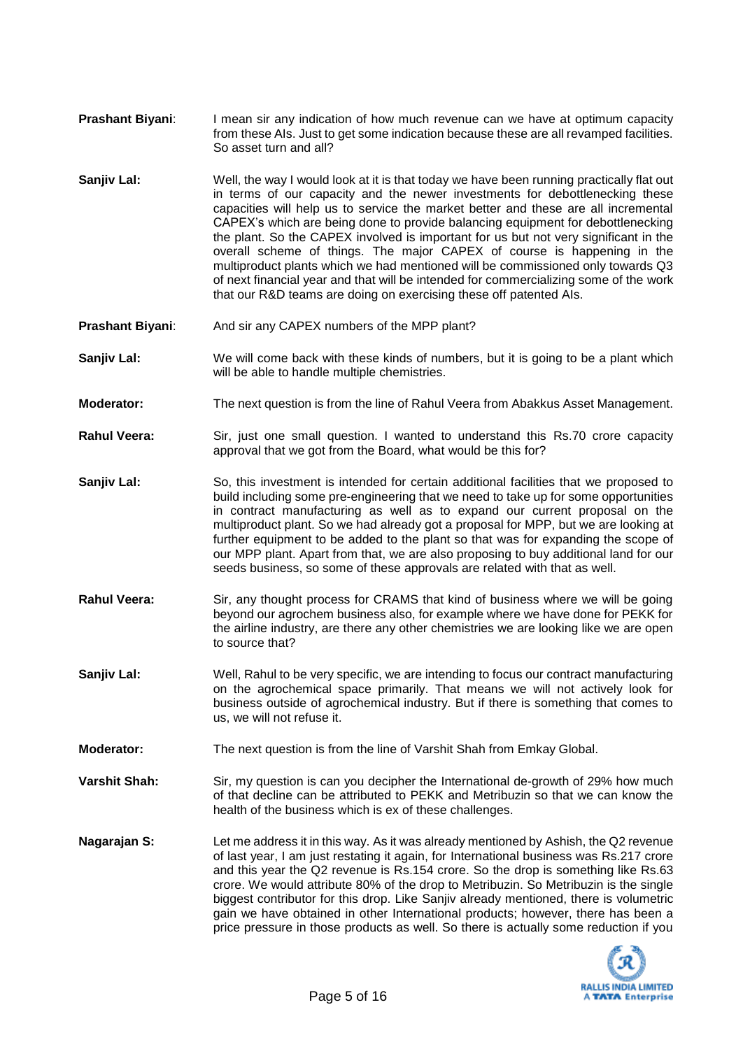- **Prashant Biyani:** I mean sir any indication of how much revenue can we have at optimum capacity from these AIs. Just to get some indication because these are all revamped facilities. So asset turn and all?
- **Sanjiv Lal:** Well, the way I would look at it is that today we have been running practically flat out in terms of our capacity and the newer investments for debottlenecking these capacities will help us to service the market better and these are all incremental CAPEX's which are being done to provide balancing equipment for debottlenecking the plant. So the CAPEX involved is important for us but not very significant in the overall scheme of things. The major CAPEX of course is happening in the multiproduct plants which we had mentioned will be commissioned only towards Q3 of next financial year and that will be intended for commercializing some of the work that our R&D teams are doing on exercising these off patented AIs.
- **Prashant Biyani:** And sir any CAPEX numbers of the MPP plant?
- **Sanjiv Lal:** We will come back with these kinds of numbers, but it is going to be a plant which will be able to handle multiple chemistries.
- **Moderator:** The next question is from the line of Rahul Veera from Abakkus Asset Management.
- **Rahul Veera:** Sir, just one small question. I wanted to understand this Rs.70 crore capacity approval that we got from the Board, what would be this for?
- **Sanjiv Lal:** So, this investment is intended for certain additional facilities that we proposed to build including some pre-engineering that we need to take up for some opportunities in contract manufacturing as well as to expand our current proposal on the multiproduct plant. So we had already got a proposal for MPP, but we are looking at further equipment to be added to the plant so that was for expanding the scope of our MPP plant. Apart from that, we are also proposing to buy additional land for our seeds business, so some of these approvals are related with that as well.
- **Rahul Veera:** Sir, any thought process for CRAMS that kind of business where we will be going beyond our agrochem business also, for example where we have done for PEKK for the airline industry, are there any other chemistries we are looking like we are open to source that?
- **Sanjiv Lal:** Well, Rahul to be very specific, we are intending to focus our contract manufacturing on the agrochemical space primarily. That means we will not actively look for business outside of agrochemical industry. But if there is something that comes to us, we will not refuse it.
- **Moderator:** The next question is from the line of Varshit Shah from Emkay Global.
- **Varshit Shah:** Sir, my question is can you decipher the International de-growth of 29% how much of that decline can be attributed to PEKK and Metribuzin so that we can know the health of the business which is ex of these challenges.
- **Nagarajan S:** Let me address it in this way. As it was already mentioned by Ashish, the Q2 revenue of last year, I am just restating it again, for International business was Rs.217 crore and this year the Q2 revenue is Rs.154 crore. So the drop is something like Rs.63 crore. We would attribute 80% of the drop to Metribuzin. So Metribuzin is the single biggest contributor for this drop. Like Sanjiv already mentioned, there is volumetric gain we have obtained in other International products; however, there has been a price pressure in those products as well. So there is actually some reduction if you

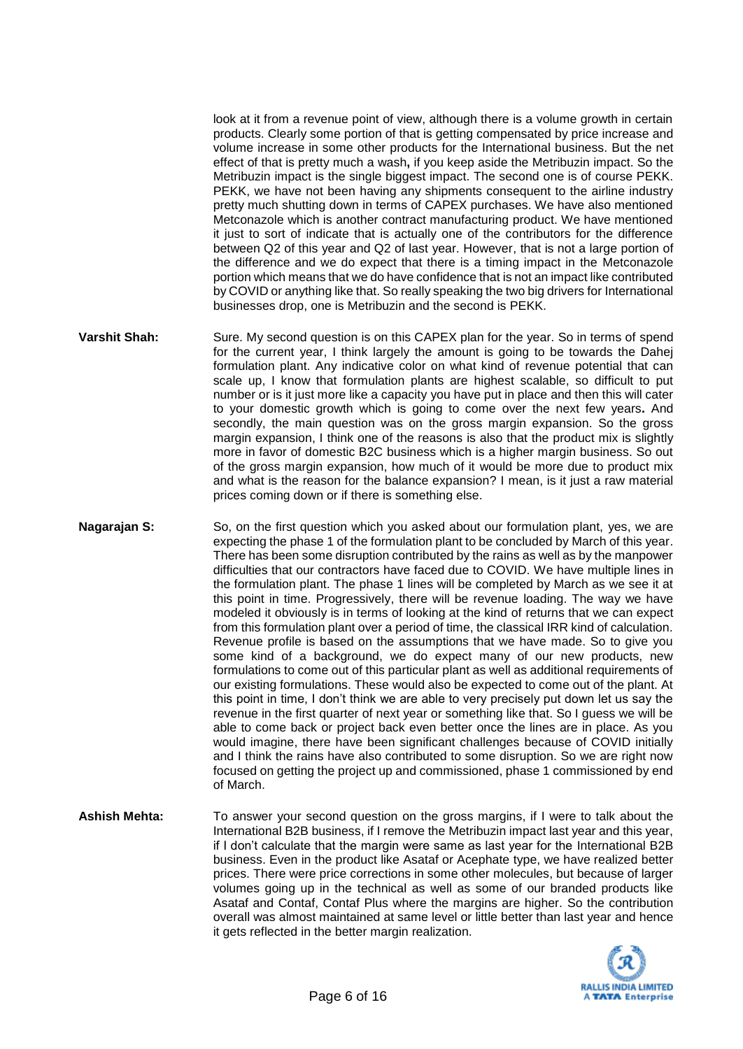look at it from a revenue point of view, although there is a volume growth in certain products. Clearly some portion of that is getting compensated by price increase and volume increase in some other products for the International business. But the net effect of that is pretty much a wash**,** if you keep aside the Metribuzin impact. So the Metribuzin impact is the single biggest impact. The second one is of course PEKK. PEKK, we have not been having any shipments consequent to the airline industry pretty much shutting down in terms of CAPEX purchases. We have also mentioned Metconazole which is another contract manufacturing product. We have mentioned it just to sort of indicate that is actually one of the contributors for the difference between Q2 of this year and Q2 of last year. However, that is not a large portion of the difference and we do expect that there is a timing impact in the Metconazole portion which means that we do have confidence that is not an impact like contributed by COVID or anything like that. So really speaking the two big drivers for International businesses drop, one is Metribuzin and the second is PEKK.

- **Varshit Shah:** Sure. My second question is on this CAPEX plan for the year. So in terms of spend for the current year, I think largely the amount is going to be towards the Dahej formulation plant. Any indicative color on what kind of revenue potential that can scale up, I know that formulation plants are highest scalable, so difficult to put number or is it just more like a capacity you have put in place and then this will cater to your domestic growth which is going to come over the next few years**.** And secondly, the main question was on the gross margin expansion. So the gross margin expansion, I think one of the reasons is also that the product mix is slightly more in favor of domestic B2C business which is a higher margin business. So out of the gross margin expansion, how much of it would be more due to product mix and what is the reason for the balance expansion? I mean, is it just a raw material prices coming down or if there is something else.
- **Nagarajan S:** So, on the first question which you asked about our formulation plant, yes, we are expecting the phase 1 of the formulation plant to be concluded by March of this year. There has been some disruption contributed by the rains as well as by the manpower difficulties that our contractors have faced due to COVID. We have multiple lines in the formulation plant. The phase 1 lines will be completed by March as we see it at this point in time. Progressively, there will be revenue loading. The way we have modeled it obviously is in terms of looking at the kind of returns that we can expect from this formulation plant over a period of time, the classical IRR kind of calculation. Revenue profile is based on the assumptions that we have made. So to give you some kind of a background, we do expect many of our new products, new formulations to come out of this particular plant as well as additional requirements of our existing formulations. These would also be expected to come out of the plant. At this point in time, I don't think we are able to very precisely put down let us say the revenue in the first quarter of next year or something like that. So I guess we will be able to come back or project back even better once the lines are in place. As you would imagine, there have been significant challenges because of COVID initially and I think the rains have also contributed to some disruption. So we are right now focused on getting the project up and commissioned, phase 1 commissioned by end of March.
- **Ashish Mehta:** To answer your second question on the gross margins, if I were to talk about the International B2B business, if I remove the Metribuzin impact last year and this year, if I don't calculate that the margin were same as last year for the International B2B business. Even in the product like Asataf or Acephate type, we have realized better prices. There were price corrections in some other molecules, but because of larger volumes going up in the technical as well as some of our branded products like Asataf and Contaf, Contaf Plus where the margins are higher. So the contribution overall was almost maintained at same level or little better than last year and hence it gets reflected in the better margin realization.

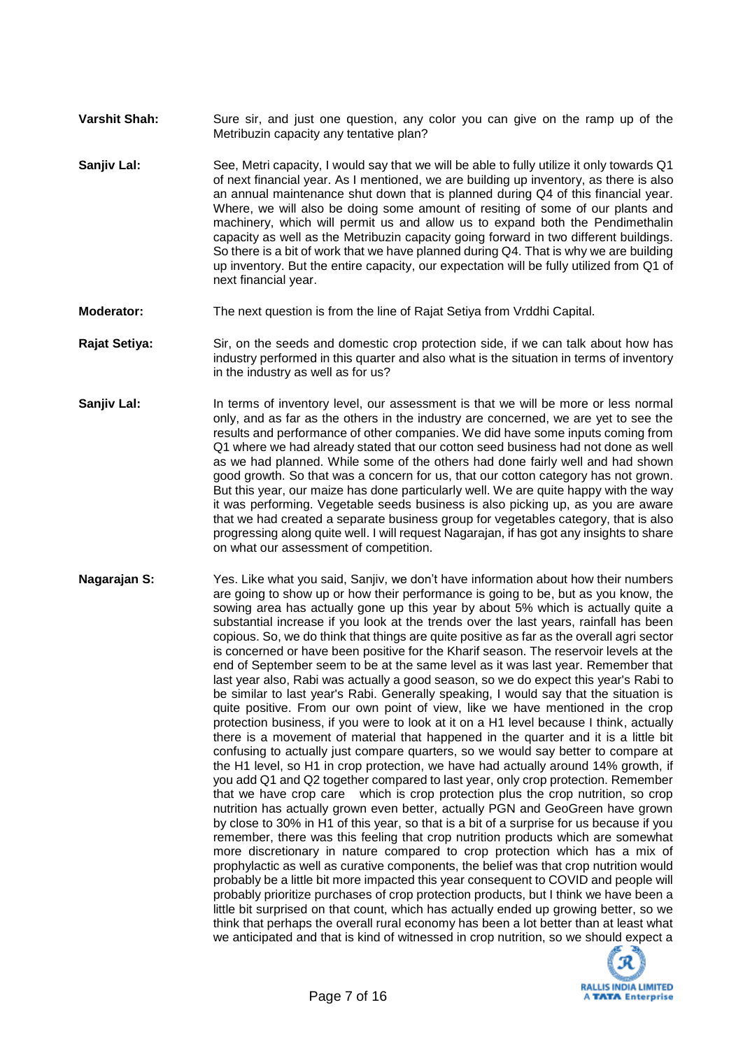- **Varshit Shah:** Sure sir, and just one question, any color you can give on the ramp up of the Metribuzin capacity any tentative plan?
- **Sanjiv Lal:** See, Metri capacity, I would say that we will be able to fully utilize it only towards Q1 of next financial year. As I mentioned, we are building up inventory, as there is also an annual maintenance shut down that is planned during Q4 of this financial year. Where, we will also be doing some amount of resiting of some of our plants and machinery, which will permit us and allow us to expand both the Pendimethalin capacity as well as the Metribuzin capacity going forward in two different buildings. So there is a bit of work that we have planned during Q4. That is why we are building up inventory. But the entire capacity, our expectation will be fully utilized from Q1 of next financial year.
- **Moderator:** The next question is from the line of Rajat Setiya from Vrddhi Capital.
- **Rajat Setiya:** Sir, on the seeds and domestic crop protection side, if we can talk about how has industry performed in this quarter and also what is the situation in terms of inventory in the industry as well as for us?
- **Sanjiv Lal:** In terms of inventory level, our assessment is that we will be more or less normal only, and as far as the others in the industry are concerned, we are yet to see the results and performance of other companies. We did have some inputs coming from Q1 where we had already stated that our cotton seed business had not done as well as we had planned. While some of the others had done fairly well and had shown good growth. So that was a concern for us, that our cotton category has not grown. But this year, our maize has done particularly well. We are quite happy with the way it was performing. Vegetable seeds business is also picking up, as you are aware that we had created a separate business group for vegetables category, that is also progressing along quite well. I will request Nagarajan, if has got any insights to share on what our assessment of competition.
- **Nagarajan S:** Yes. Like what you said, Sanjiv, we don't have information about how their numbers are going to show up or how their performance is going to be, but as you know, the sowing area has actually gone up this year by about 5% which is actually quite a substantial increase if you look at the trends over the last years, rainfall has been copious. So, we do think that things are quite positive as far as the overall agri sector is concerned or have been positive for the Kharif season. The reservoir levels at the end of September seem to be at the same level as it was last year. Remember that last year also, Rabi was actually a good season, so we do expect this year's Rabi to be similar to last year's Rabi. Generally speaking, I would say that the situation is quite positive. From our own point of view, like we have mentioned in the crop protection business, if you were to look at it on a H1 level because I think, actually there is a movement of material that happened in the quarter and it is a little bit confusing to actually just compare quarters, so we would say better to compare at the H1 level, so H1 in crop protection, we have had actually around 14% growth, if you add Q1 and Q2 together compared to last year, only crop protection. Remember that we have crop care which is crop protection plus the crop nutrition, so crop nutrition has actually grown even better, actually PGN and GeoGreen have grown by close to 30% in H1 of this year, so that is a bit of a surprise for us because if you remember, there was this feeling that crop nutrition products which are somewhat more discretionary in nature compared to crop protection which has a mix of prophylactic as well as curative components, the belief was that crop nutrition would probably be a little bit more impacted this year consequent to COVID and people will probably prioritize purchases of crop protection products, but I think we have been a little bit surprised on that count, which has actually ended up growing better, so we think that perhaps the overall rural economy has been a lot better than at least what we anticipated and that is kind of witnessed in crop nutrition, so we should expect a

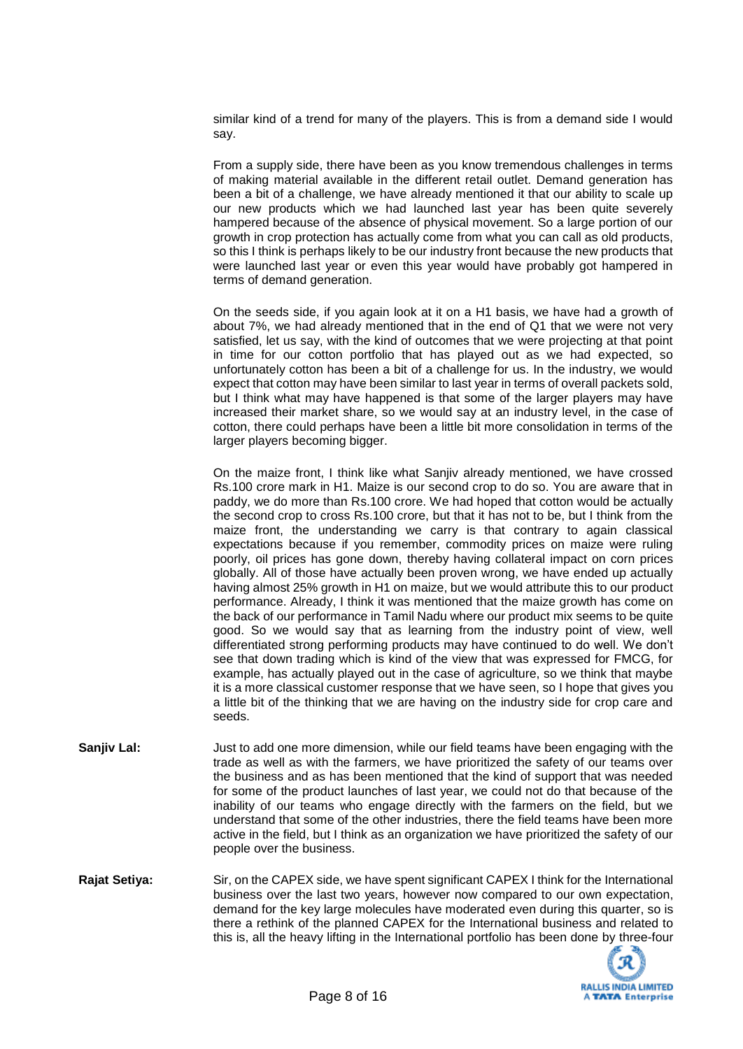similar kind of a trend for many of the players. This is from a demand side I would say.

From a supply side, there have been as you know tremendous challenges in terms of making material available in the different retail outlet. Demand generation has been a bit of a challenge, we have already mentioned it that our ability to scale up our new products which we had launched last year has been quite severely hampered because of the absence of physical movement. So a large portion of our growth in crop protection has actually come from what you can call as old products, so this I think is perhaps likely to be our industry front because the new products that were launched last year or even this year would have probably got hampered in terms of demand generation.

On the seeds side, if you again look at it on a H1 basis, we have had a growth of about 7%, we had already mentioned that in the end of Q1 that we were not very satisfied, let us say, with the kind of outcomes that we were projecting at that point in time for our cotton portfolio that has played out as we had expected, so unfortunately cotton has been a bit of a challenge for us. In the industry, we would expect that cotton may have been similar to last year in terms of overall packets sold, but I think what may have happened is that some of the larger players may have increased their market share, so we would say at an industry level, in the case of cotton, there could perhaps have been a little bit more consolidation in terms of the larger players becoming bigger.

On the maize front, I think like what Sanjiv already mentioned, we have crossed Rs.100 crore mark in H1. Maize is our second crop to do so. You are aware that in paddy, we do more than Rs.100 crore. We had hoped that cotton would be actually the second crop to cross Rs.100 crore, but that it has not to be, but I think from the maize front, the understanding we carry is that contrary to again classical expectations because if you remember, commodity prices on maize were ruling poorly, oil prices has gone down, thereby having collateral impact on corn prices globally. All of those have actually been proven wrong, we have ended up actually having almost 25% growth in H1 on maize, but we would attribute this to our product performance. Already, I think it was mentioned that the maize growth has come on the back of our performance in Tamil Nadu where our product mix seems to be quite good. So we would say that as learning from the industry point of view, well differentiated strong performing products may have continued to do well. We don't see that down trading which is kind of the view that was expressed for FMCG, for example, has actually played out in the case of agriculture, so we think that maybe it is a more classical customer response that we have seen, so I hope that gives you a little bit of the thinking that we are having on the industry side for crop care and seeds.

- **Sanjiv Lal:** Just to add one more dimension, while our field teams have been engaging with the trade as well as with the farmers, we have prioritized the safety of our teams over the business and as has been mentioned that the kind of support that was needed for some of the product launches of last year, we could not do that because of the inability of our teams who engage directly with the farmers on the field, but we understand that some of the other industries, there the field teams have been more active in the field, but I think as an organization we have prioritized the safety of our people over the business.
- **Rajat Setiya:** Sir, on the CAPEX side, we have spent significant CAPEX I think for the International business over the last two years, however now compared to our own expectation, demand for the key large molecules have moderated even during this quarter, so is there a rethink of the planned CAPEX for the International business and related to this is, all the heavy lifting in the International portfolio has been done by three-four

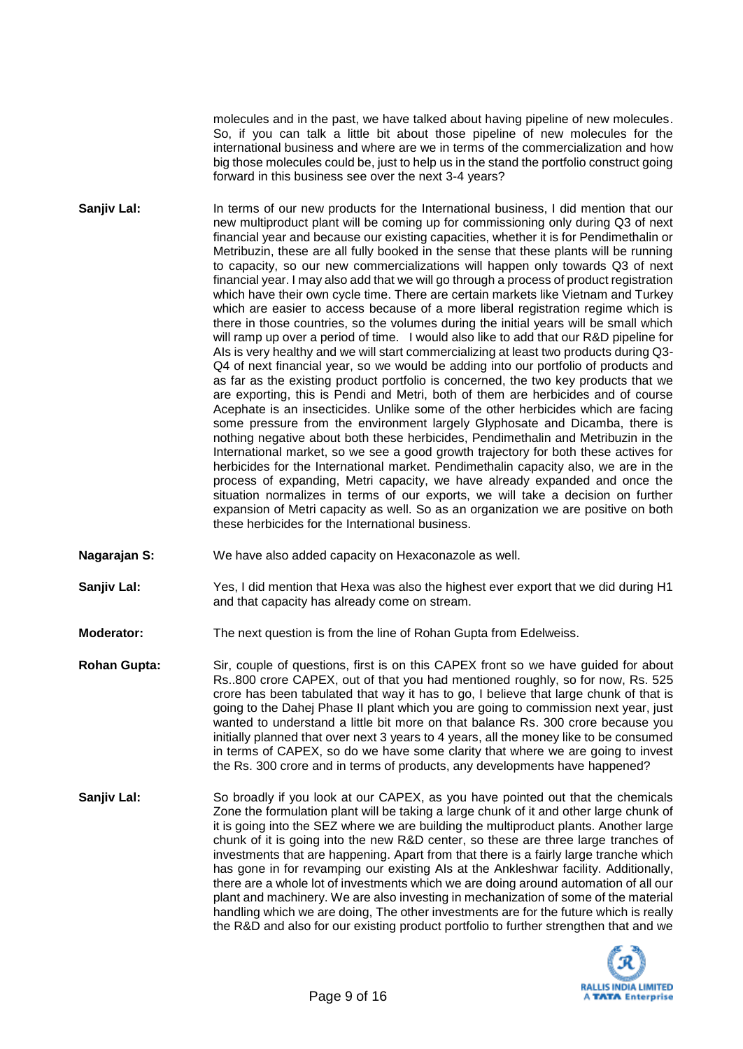molecules and in the past, we have talked about having pipeline of new molecules. So, if you can talk a little bit about those pipeline of new molecules for the international business and where are we in terms of the commercialization and how big those molecules could be, just to help us in the stand the portfolio construct going forward in this business see over the next 3-4 years?

- **Sanjiv Lal:** In terms of our new products for the International business, I did mention that our new multiproduct plant will be coming up for commissioning only during Q3 of next financial year and because our existing capacities, whether it is for Pendimethalin or Metribuzin, these are all fully booked in the sense that these plants will be running to capacity, so our new commercializations will happen only towards Q3 of next financial year. I may also add that we will go through a process of product registration which have their own cycle time. There are certain markets like Vietnam and Turkey which are easier to access because of a more liberal registration regime which is there in those countries, so the volumes during the initial years will be small which will ramp up over a period of time. I would also like to add that our R&D pipeline for AIs is very healthy and we will start commercializing at least two products during Q3- Q4 of next financial year, so we would be adding into our portfolio of products and as far as the existing product portfolio is concerned, the two key products that we are exporting, this is Pendi and Metri, both of them are herbicides and of course Acephate is an insecticides. Unlike some of the other herbicides which are facing some pressure from the environment largely Glyphosate and Dicamba, there is nothing negative about both these herbicides, Pendimethalin and Metribuzin in the International market, so we see a good growth trajectory for both these actives for herbicides for the International market. Pendimethalin capacity also, we are in the process of expanding, Metri capacity, we have already expanded and once the situation normalizes in terms of our exports, we will take a decision on further expansion of Metri capacity as well. So as an organization we are positive on both these herbicides for the International business.
- **Nagarajan S:** We have also added capacity on Hexaconazole as well.
- **Sanjiv Lal:** Yes, I did mention that Hexa was also the highest ever export that we did during H1 and that capacity has already come on stream.
- **Moderator:** The next question is from the line of Rohan Gupta from Edelweiss.
- **Rohan Gupta:** Sir, couple of questions, first is on this CAPEX front so we have guided for about Rs..800 crore CAPEX, out of that you had mentioned roughly, so for now, Rs. 525 crore has been tabulated that way it has to go, I believe that large chunk of that is going to the Dahej Phase II plant which you are going to commission next year, just wanted to understand a little bit more on that balance Rs. 300 crore because you initially planned that over next 3 years to 4 years, all the money like to be consumed in terms of CAPEX, so do we have some clarity that where we are going to invest the Rs. 300 crore and in terms of products, any developments have happened?
- **Sanjiv Lal:** So broadly if you look at our CAPEX, as you have pointed out that the chemicals Zone the formulation plant will be taking a large chunk of it and other large chunk of it is going into the SEZ where we are building the multiproduct plants. Another large chunk of it is going into the new R&D center, so these are three large tranches of investments that are happening. Apart from that there is a fairly large tranche which has gone in for revamping our existing AIs at the Ankleshwar facility. Additionally, there are a whole lot of investments which we are doing around automation of all our plant and machinery. We are also investing in mechanization of some of the material handling which we are doing, The other investments are for the future which is really the R&D and also for our existing product portfolio to further strengthen that and we

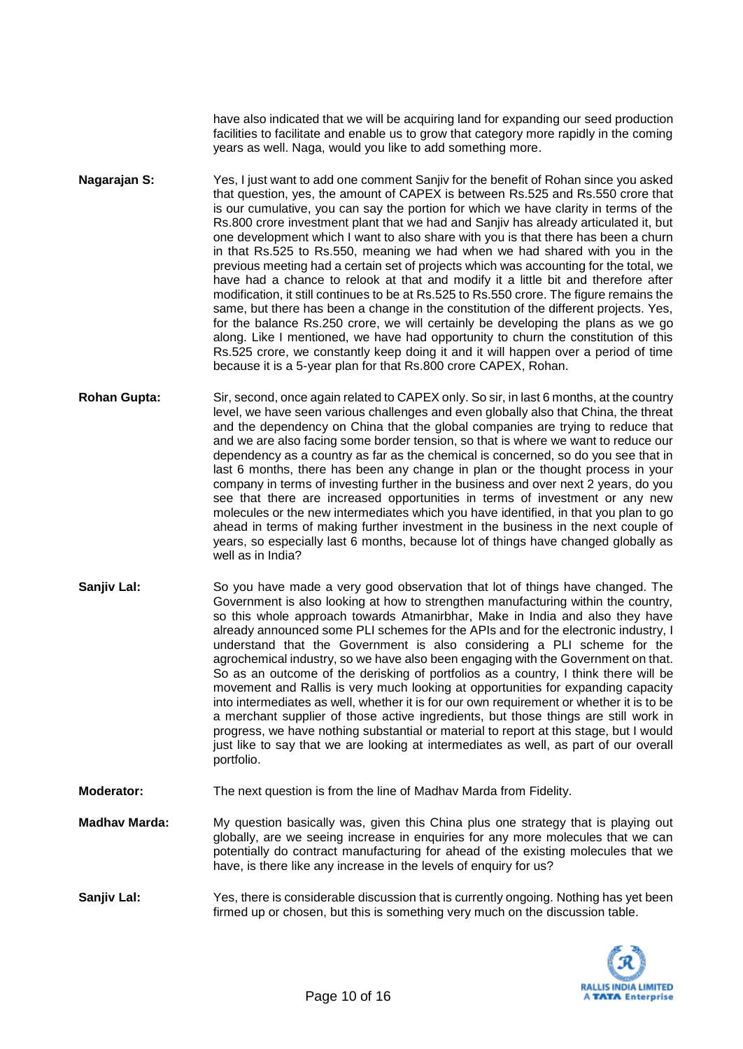have also indicated that we will be acquiring land for expanding our seed production facilities to facilitate and enable us to grow that category more rapidly in the coming years as well. Naga, would you like to add something more.

- **Nagarajan S:** Yes, I just want to add one comment Sanjiv for the benefit of Rohan since you asked that question, yes, the amount of CAPEX is between Rs.525 and Rs.550 crore that is our cumulative, you can say the portion for which we have clarity in terms of the Rs.800 crore investment plant that we had and Sanjiv has already articulated it, but one development which I want to also share with you is that there has been a churn in that Rs.525 to Rs.550, meaning we had when we had shared with you in the previous meeting had a certain set of projects which was accounting for the total, we have had a chance to relook at that and modify it a little bit and therefore after modification, it still continues to be at Rs.525 to Rs.550 crore. The figure remains the same, but there has been a change in the constitution of the different projects. Yes, for the balance Rs.250 crore, we will certainly be developing the plans as we go along. Like I mentioned, we have had opportunity to churn the constitution of this Rs.525 crore, we constantly keep doing it and it will happen over a period of time because it is a 5-year plan for that Rs.800 crore CAPEX, Rohan.
- **Rohan Gupta:** Sir, second, once again related to CAPEX only. So sir, in last 6 months, at the country level, we have seen various challenges and even globally also that China, the threat and the dependency on China that the global companies are trying to reduce that and we are also facing some border tension, so that is where we want to reduce our dependency as a country as far as the chemical is concerned, so do you see that in last 6 months, there has been any change in plan or the thought process in your company in terms of investing further in the business and over next 2 years, do you see that there are increased opportunities in terms of investment or any new molecules or the new intermediates which you have identified, in that you plan to go ahead in terms of making further investment in the business in the next couple of years, so especially last 6 months, because lot of things have changed globally as well as in India?
- **Sanjiv Lal:** So you have made a very good observation that lot of things have changed. The Government is also looking at how to strengthen manufacturing within the country, so this whole approach towards Atmanirbhar, Make in India and also they have already announced some PLI schemes for the APIs and for the electronic industry, I understand that the Government is also considering a PLI scheme for the agrochemical industry, so we have also been engaging with the Government on that. So as an outcome of the derisking of portfolios as a country, I think there will be movement and Rallis is very much looking at opportunities for expanding capacity into intermediates as well, whether it is for our own requirement or whether it is to be a merchant supplier of those active ingredients, but those things are still work in progress, we have nothing substantial or material to report at this stage, but I would just like to say that we are looking at intermediates as well, as part of our overall portfolio.
- **Moderator:** The next question is from the line of Madhav Marda from Fidelity.
- **Madhav Marda:** My question basically was, given this China plus one strategy that is playing out globally, are we seeing increase in enquiries for any more molecules that we can potentially do contract manufacturing for ahead of the existing molecules that we have, is there like any increase in the levels of enquiry for us?
- **Sanjiv Lal:** Yes, there is considerable discussion that is currently ongoing. Nothing has yet been firmed up or chosen, but this is something very much on the discussion table.

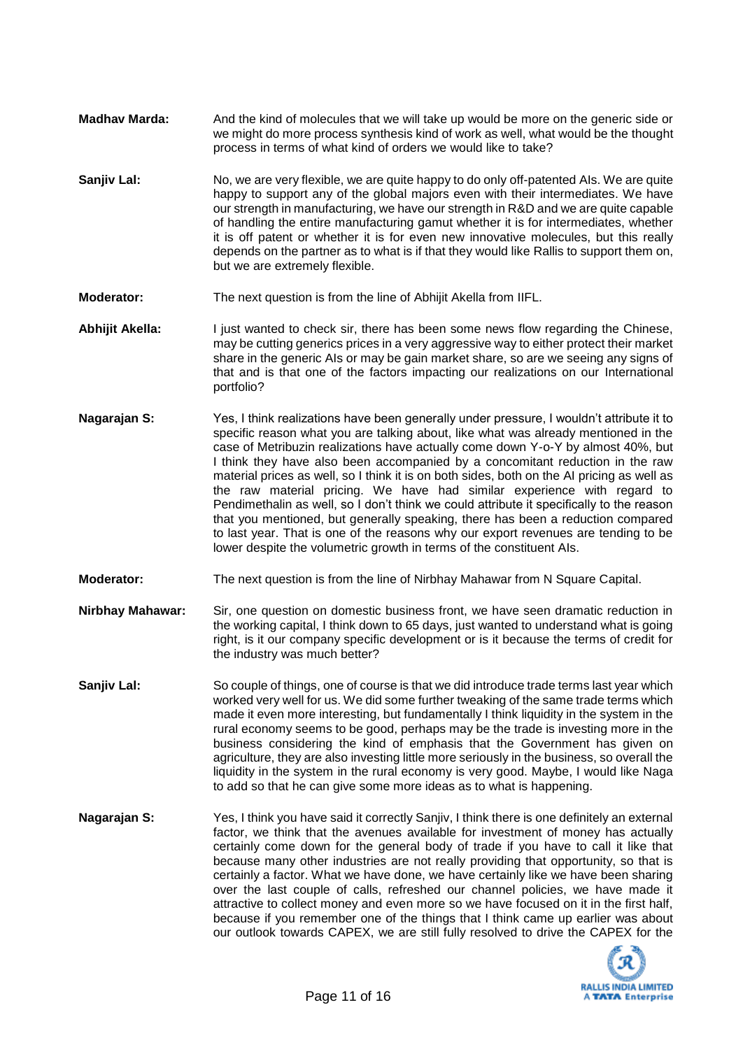- **Madhav Marda:** And the kind of molecules that we will take up would be more on the generic side or we might do more process synthesis kind of work as well, what would be the thought process in terms of what kind of orders we would like to take?
- **Sanjiv Lal:** No, we are very flexible, we are quite happy to do only off-patented AIs. We are quite happy to support any of the global majors even with their intermediates. We have our strength in manufacturing, we have our strength in R&D and we are quite capable of handling the entire manufacturing gamut whether it is for intermediates, whether it is off patent or whether it is for even new innovative molecules, but this really depends on the partner as to what is if that they would like Rallis to support them on, but we are extremely flexible.
- **Moderator:** The next question is from the line of Abhijit Akella from IIFL.
- **Abhijit Akella:** I just wanted to check sir, there has been some news flow regarding the Chinese, may be cutting generics prices in a very aggressive way to either protect their market share in the generic AIs or may be gain market share, so are we seeing any signs of that and is that one of the factors impacting our realizations on our International portfolio?
- **Nagarajan S:** Yes, I think realizations have been generally under pressure, I wouldn't attribute it to specific reason what you are talking about, like what was already mentioned in the case of Metribuzin realizations have actually come down Y-o-Y by almost 40%, but I think they have also been accompanied by a concomitant reduction in the raw material prices as well, so I think it is on both sides, both on the AI pricing as well as the raw material pricing. We have had similar experience with regard to Pendimethalin as well, so I don't think we could attribute it specifically to the reason that you mentioned, but generally speaking, there has been a reduction compared to last year. That is one of the reasons why our export revenues are tending to be lower despite the volumetric growth in terms of the constituent AIs.
- **Moderator:** The next question is from the line of Nirbhay Mahawar from N Square Capital.
- **Nirbhay Mahawar:** Sir, one question on domestic business front, we have seen dramatic reduction in the working capital, I think down to 65 days, just wanted to understand what is going right, is it our company specific development or is it because the terms of credit for the industry was much better?
- **Sanjiv Lal:** So couple of things, one of course is that we did introduce trade terms last year which worked very well for us. We did some further tweaking of the same trade terms which made it even more interesting, but fundamentally I think liquidity in the system in the rural economy seems to be good, perhaps may be the trade is investing more in the business considering the kind of emphasis that the Government has given on agriculture, they are also investing little more seriously in the business, so overall the liquidity in the system in the rural economy is very good. Maybe, I would like Naga to add so that he can give some more ideas as to what is happening.
- **Nagarajan S:** Yes, I think you have said it correctly Sanjiv, I think there is one definitely an external factor, we think that the avenues available for investment of money has actually certainly come down for the general body of trade if you have to call it like that because many other industries are not really providing that opportunity, so that is certainly a factor. What we have done, we have certainly like we have been sharing over the last couple of calls, refreshed our channel policies, we have made it attractive to collect money and even more so we have focused on it in the first half, because if you remember one of the things that I think came up earlier was about our outlook towards CAPEX, we are still fully resolved to drive the CAPEX for the

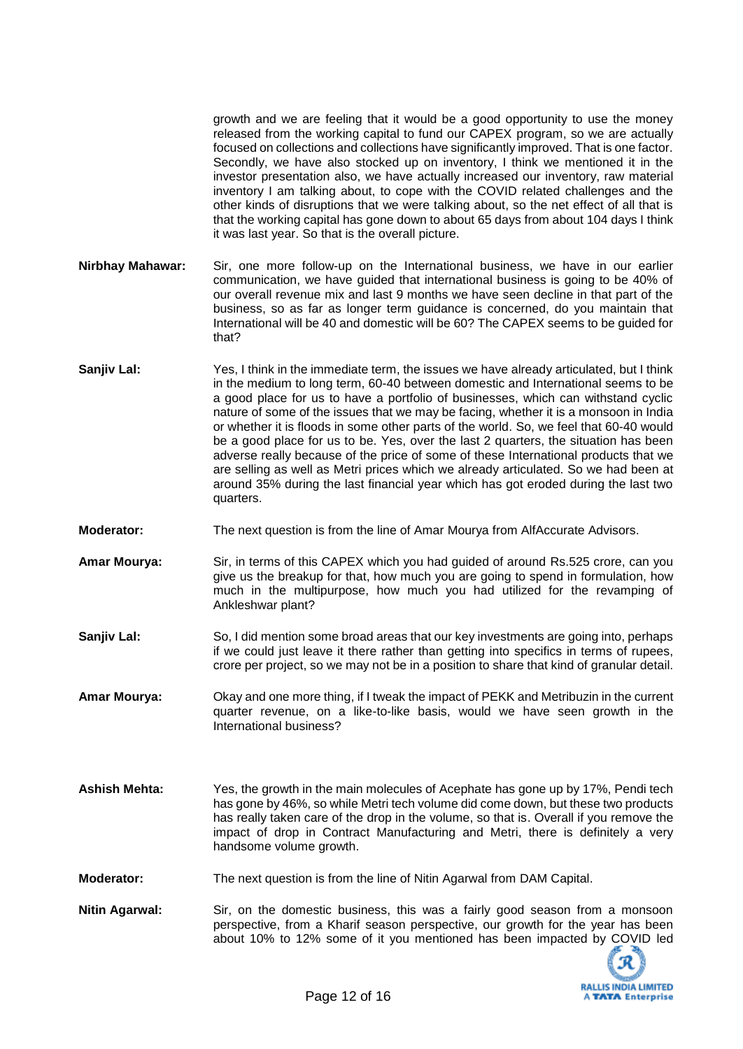growth and we are feeling that it would be a good opportunity to use the money released from the working capital to fund our CAPEX program, so we are actually focused on collections and collections have significantly improved. That is one factor. Secondly, we have also stocked up on inventory, I think we mentioned it in the investor presentation also, we have actually increased our inventory, raw material inventory I am talking about, to cope with the COVID related challenges and the other kinds of disruptions that we were talking about, so the net effect of all that is that the working capital has gone down to about 65 days from about 104 days I think it was last year. So that is the overall picture.

- **Nirbhay Mahawar:** Sir, one more follow-up on the International business, we have in our earlier communication, we have guided that international business is going to be 40% of our overall revenue mix and last 9 months we have seen decline in that part of the business, so as far as longer term guidance is concerned, do you maintain that International will be 40 and domestic will be 60? The CAPEX seems to be guided for that?
- **Sanjiv Lal:** Yes, I think in the immediate term, the issues we have already articulated, but I think in the medium to long term, 60-40 between domestic and International seems to be a good place for us to have a portfolio of businesses, which can withstand cyclic nature of some of the issues that we may be facing, whether it is a monsoon in India or whether it is floods in some other parts of the world. So, we feel that 60-40 would be a good place for us to be. Yes, over the last 2 quarters, the situation has been adverse really because of the price of some of these International products that we are selling as well as Metri prices which we already articulated. So we had been at around 35% during the last financial year which has got eroded during the last two quarters.
- **Moderator:** The next question is from the line of Amar Mourya from AlfAccurate Advisors.
- **Amar Mourya:** Sir, in terms of this CAPEX which you had guided of around Rs.525 crore, can you give us the breakup for that, how much you are going to spend in formulation, how much in the multipurpose, how much you had utilized for the revamping of Ankleshwar plant?
- **Sanjiv Lal:** So, I did mention some broad areas that our key investments are going into, perhaps if we could just leave it there rather than getting into specifics in terms of rupees, crore per project, so we may not be in a position to share that kind of granular detail.

**Amar Mourya:** Okay and one more thing, if I tweak the impact of PEKK and Metribuzin in the current quarter revenue, on a like-to-like basis, would we have seen growth in the International business?

- **Ashish Mehta:** Yes, the growth in the main molecules of Acephate has gone up by 17%, Pendi tech has gone by 46%, so while Metri tech volume did come down, but these two products has really taken care of the drop in the volume, so that is. Overall if you remove the impact of drop in Contract Manufacturing and Metri, there is definitely a very handsome volume growth.
- **Moderator:** The next question is from the line of Nitin Agarwal from DAM Capital.
- **Nitin Agarwal:** Sir, on the domestic business, this was a fairly good season from a monsoon perspective, from a Kharif season perspective, our growth for the year has been about 10% to 12% some of it you mentioned has been impacted by COVID led

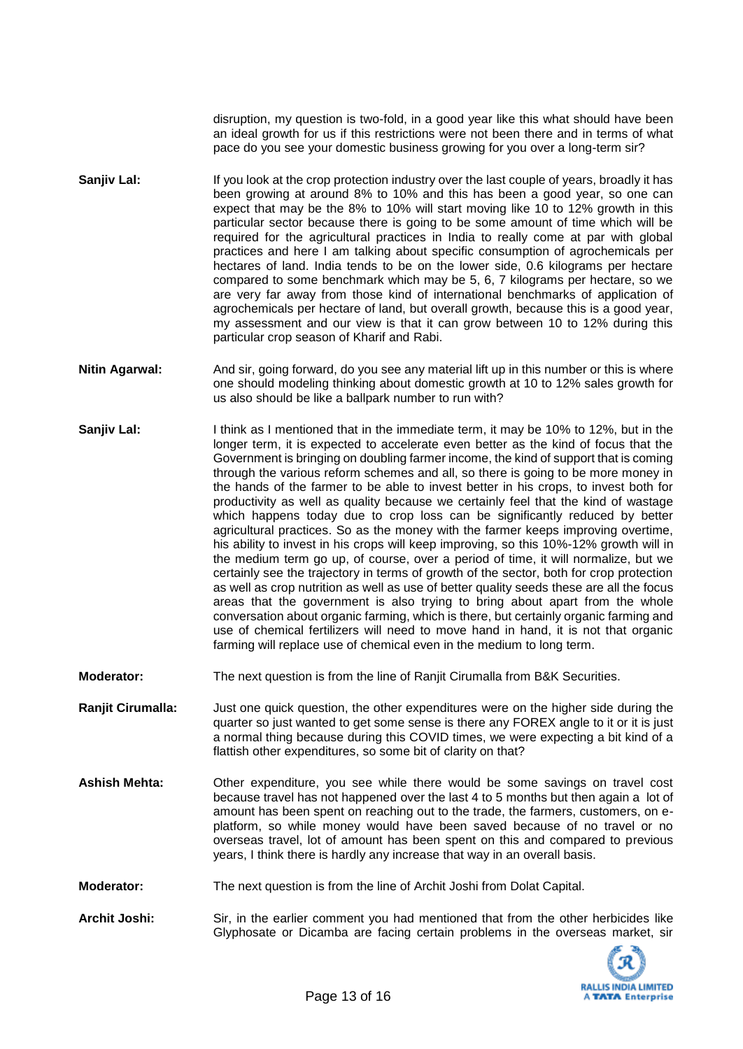disruption, my question is two-fold, in a good year like this what should have been an ideal growth for us if this restrictions were not been there and in terms of what pace do you see your domestic business growing for you over a long-term sir?

- **Sanjiv Lal:** If you look at the crop protection industry over the last couple of years, broadly it has been growing at around 8% to 10% and this has been a good year, so one can expect that may be the 8% to 10% will start moving like 10 to 12% growth in this particular sector because there is going to be some amount of time which will be required for the agricultural practices in India to really come at par with global practices and here I am talking about specific consumption of agrochemicals per hectares of land. India tends to be on the lower side, 0.6 kilograms per hectare compared to some benchmark which may be 5, 6, 7 kilograms per hectare, so we are very far away from those kind of international benchmarks of application of agrochemicals per hectare of land, but overall growth, because this is a good year, my assessment and our view is that it can grow between 10 to 12% during this particular crop season of Kharif and Rabi.
- **Nitin Agarwal:** And sir, going forward, do you see any material lift up in this number or this is where one should modeling thinking about domestic growth at 10 to 12% sales growth for us also should be like a ballpark number to run with?
- **Sanjiv Lal:** I think as I mentioned that in the immediate term, it may be 10% to 12%, but in the longer term, it is expected to accelerate even better as the kind of focus that the Government is bringing on doubling farmer income, the kind of support that is coming through the various reform schemes and all, so there is going to be more money in the hands of the farmer to be able to invest better in his crops, to invest both for productivity as well as quality because we certainly feel that the kind of wastage which happens today due to crop loss can be significantly reduced by better agricultural practices. So as the money with the farmer keeps improving overtime, his ability to invest in his crops will keep improving, so this 10%-12% growth will in the medium term go up, of course, over a period of time, it will normalize, but we certainly see the trajectory in terms of growth of the sector, both for crop protection as well as crop nutrition as well as use of better quality seeds these are all the focus areas that the government is also trying to bring about apart from the whole conversation about organic farming, which is there, but certainly organic farming and use of chemical fertilizers will need to move hand in hand, it is not that organic farming will replace use of chemical even in the medium to long term.
- **Moderator:** The next question is from the line of Ranjit Cirumalla from B&K Securities.

**Ranjit Cirumalla:** Just one quick question, the other expenditures were on the higher side during the quarter so just wanted to get some sense is there any FOREX angle to it or it is just a normal thing because during this COVID times, we were expecting a bit kind of a flattish other expenditures, so some bit of clarity on that?

- **Ashish Mehta:** Other expenditure, you see while there would be some savings on travel cost because travel has not happened over the last 4 to 5 months but then again a lot of amount has been spent on reaching out to the trade, the farmers, customers, on eplatform, so while money would have been saved because of no travel or no overseas travel, lot of amount has been spent on this and compared to previous years, I think there is hardly any increase that way in an overall basis.
- **Moderator:** The next question is from the line of Archit Joshi from Dolat Capital.
- **Archit Joshi:** Sir, in the earlier comment you had mentioned that from the other herbicides like Glyphosate or Dicamba are facing certain problems in the overseas market, sir

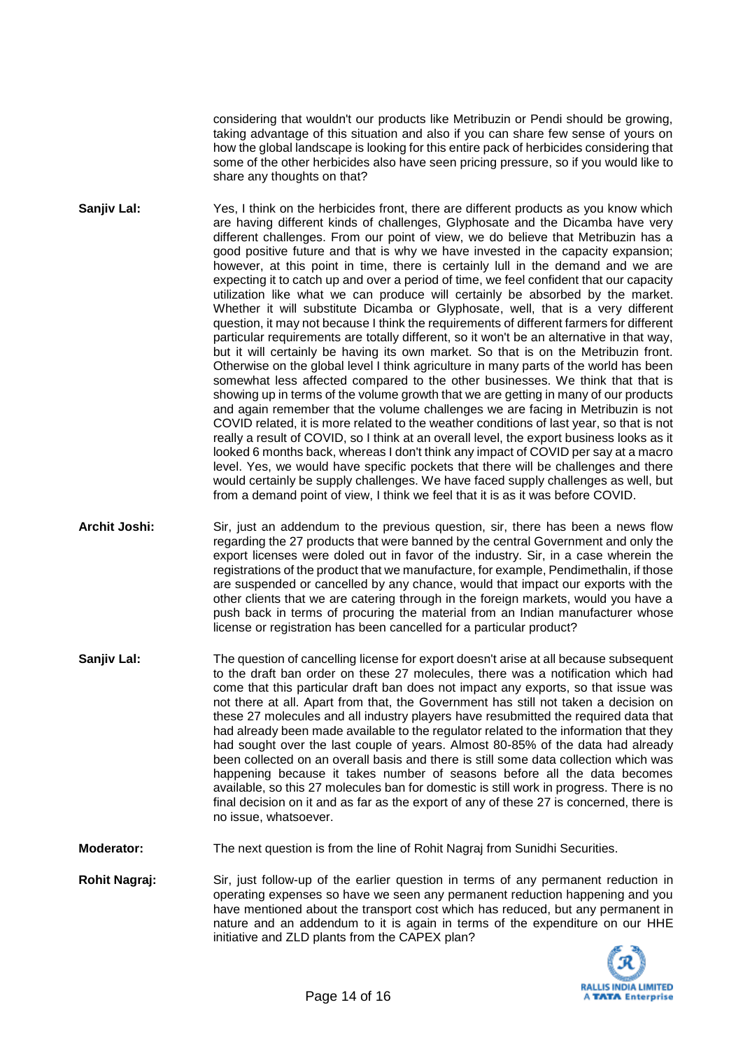considering that wouldn't our products like Metribuzin or Pendi should be growing, taking advantage of this situation and also if you can share few sense of yours on how the global landscape is looking for this entire pack of herbicides considering that some of the other herbicides also have seen pricing pressure, so if you would like to share any thoughts on that?

- **Sanjiv Lal:** Yes, I think on the herbicides front, there are different products as you know which are having different kinds of challenges, Glyphosate and the Dicamba have very different challenges. From our point of view, we do believe that Metribuzin has a good positive future and that is why we have invested in the capacity expansion; however, at this point in time, there is certainly lull in the demand and we are expecting it to catch up and over a period of time, we feel confident that our capacity utilization like what we can produce will certainly be absorbed by the market. Whether it will substitute Dicamba or Glyphosate, well, that is a very different question, it may not because I think the requirements of different farmers for different particular requirements are totally different, so it won't be an alternative in that way, but it will certainly be having its own market. So that is on the Metribuzin front. Otherwise on the global level I think agriculture in many parts of the world has been somewhat less affected compared to the other businesses. We think that that is showing up in terms of the volume growth that we are getting in many of our products and again remember that the volume challenges we are facing in Metribuzin is not COVID related, it is more related to the weather conditions of last year, so that is not really a result of COVID, so I think at an overall level, the export business looks as it looked 6 months back, whereas I don't think any impact of COVID per say at a macro level. Yes, we would have specific pockets that there will be challenges and there would certainly be supply challenges. We have faced supply challenges as well, but from a demand point of view, I think we feel that it is as it was before COVID.
- **Archit Joshi:** Sir, just an addendum to the previous question, sir, there has been a news flow regarding the 27 products that were banned by the central Government and only the export licenses were doled out in favor of the industry. Sir, in a case wherein the registrations of the product that we manufacture, for example, Pendimethalin, if those are suspended or cancelled by any chance, would that impact our exports with the other clients that we are catering through in the foreign markets, would you have a push back in terms of procuring the material from an Indian manufacturer whose license or registration has been cancelled for a particular product?
- **Sanjiv Lal:** The question of cancelling license for export doesn't arise at all because subsequent to the draft ban order on these 27 molecules, there was a notification which had come that this particular draft ban does not impact any exports, so that issue was not there at all. Apart from that, the Government has still not taken a decision on these 27 molecules and all industry players have resubmitted the required data that had already been made available to the regulator related to the information that they had sought over the last couple of years. Almost 80-85% of the data had already been collected on an overall basis and there is still some data collection which was happening because it takes number of seasons before all the data becomes available, so this 27 molecules ban for domestic is still work in progress. There is no final decision on it and as far as the export of any of these 27 is concerned, there is no issue, whatsoever.

**Moderator:** The next question is from the line of Rohit Nagraj from Sunidhi Securities.

**Rohit Nagraj:** Sir, just follow-up of the earlier question in terms of any permanent reduction in operating expenses so have we seen any permanent reduction happening and you have mentioned about the transport cost which has reduced, but any permanent in nature and an addendum to it is again in terms of the expenditure on our HHE initiative and ZLD plants from the CAPEX plan?

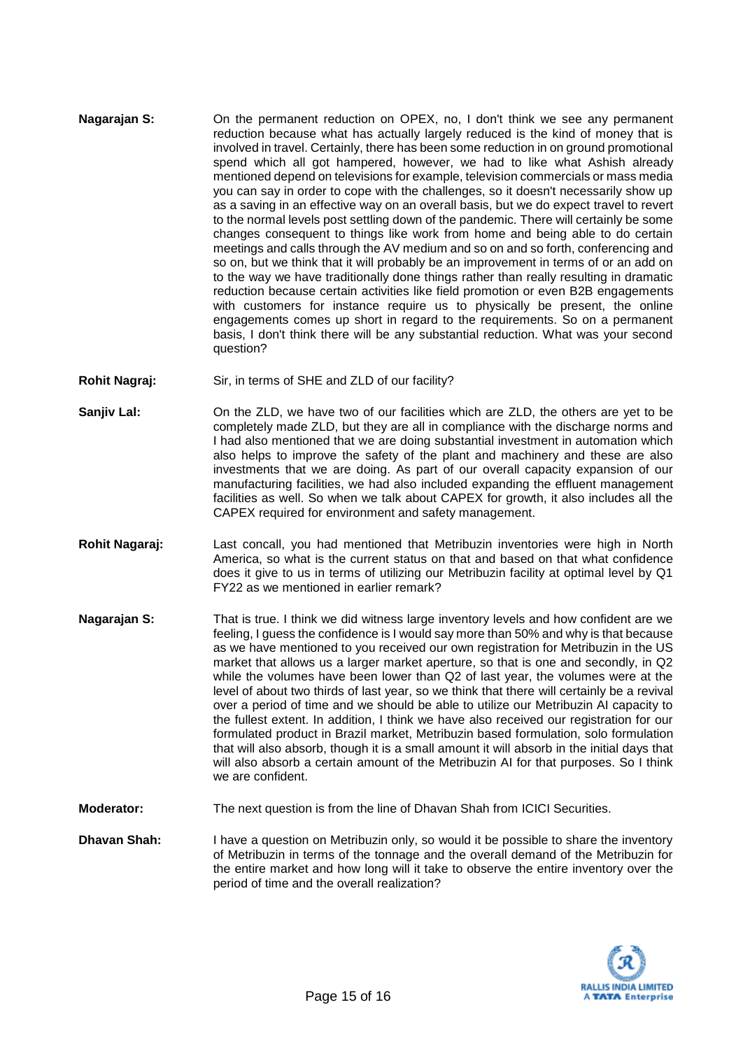- **Nagarajan S:** On the permanent reduction on OPEX, no, I don't think we see any permanent reduction because what has actually largely reduced is the kind of money that is involved in travel. Certainly, there has been some reduction in on ground promotional spend which all got hampered, however, we had to like what Ashish already mentioned depend on televisions for example, television commercials or mass media you can say in order to cope with the challenges, so it doesn't necessarily show up as a saving in an effective way on an overall basis, but we do expect travel to revert to the normal levels post settling down of the pandemic. There will certainly be some changes consequent to things like work from home and being able to do certain meetings and calls through the AV medium and so on and so forth, conferencing and so on, but we think that it will probably be an improvement in terms of or an add on to the way we have traditionally done things rather than really resulting in dramatic reduction because certain activities like field promotion or even B2B engagements with customers for instance require us to physically be present, the online engagements comes up short in regard to the requirements. So on a permanent basis, I don't think there will be any substantial reduction. What was your second question?
- **Rohit Nagraj:** Sir, in terms of SHE and ZLD of our facility?
- **Sanjiv Lal:** On the ZLD, we have two of our facilities which are ZLD, the others are yet to be completely made ZLD, but they are all in compliance with the discharge norms and I had also mentioned that we are doing substantial investment in automation which also helps to improve the safety of the plant and machinery and these are also investments that we are doing. As part of our overall capacity expansion of our manufacturing facilities, we had also included expanding the effluent management facilities as well. So when we talk about CAPEX for growth, it also includes all the CAPEX required for environment and safety management.
- **Rohit Nagaraj:** Last concall, you had mentioned that Metribuzin inventories were high in North America, so what is the current status on that and based on that what confidence does it give to us in terms of utilizing our Metribuzin facility at optimal level by Q1 FY22 as we mentioned in earlier remark?
- **Nagarajan S:** That is true. I think we did witness large inventory levels and how confident are we feeling, I guess the confidence is I would say more than 50% and why is that because as we have mentioned to you received our own registration for Metribuzin in the US market that allows us a larger market aperture, so that is one and secondly, in Q2 while the volumes have been lower than Q2 of last year, the volumes were at the level of about two thirds of last year, so we think that there will certainly be a revival over a period of time and we should be able to utilize our Metribuzin AI capacity to the fullest extent. In addition, I think we have also received our registration for our formulated product in Brazil market, Metribuzin based formulation, solo formulation that will also absorb, though it is a small amount it will absorb in the initial days that will also absorb a certain amount of the Metribuzin AI for that purposes. So I think we are confident.
- **Moderator:** The next question is from the line of Dhavan Shah from ICICI Securities.
- **Dhavan Shah:** I have a question on Metribuzin only, so would it be possible to share the inventory of Metribuzin in terms of the tonnage and the overall demand of the Metribuzin for the entire market and how long will it take to observe the entire inventory over the period of time and the overall realization?